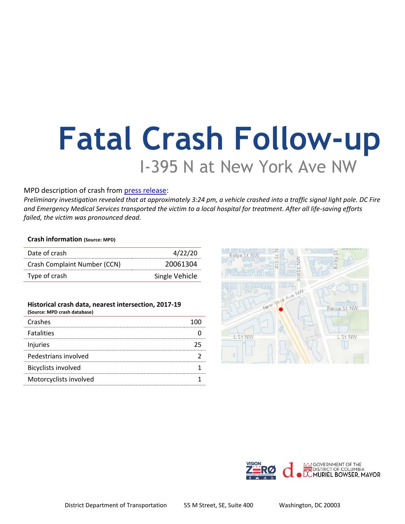# **Fatal Crash Follow-up** I-395 N at New York Ave NW

## MPD description of crash from [press release:](https://mpdc.dc.gov/release/traffic-fatality-i-395-northbound-near-new-york-avenue-northwest)

*Preliminary investigation revealed that at approximately 3:24 pm, a vehicle crashed into a traffic signal light pole. DC Fire and Emergency Medical Services transported the victim to a local hospital for treatment. After all life-saving efforts failed, the victim was pronounced dead.*

### **Crash information (Source: MPD)**

| Date of crash                | 4/22/20        |
|------------------------------|----------------|
| Crash Complaint Number (CCN) | 20061304       |
| Type of crash                | Single Vehicle |

#### **Historical crash data, nearest intersection, 2017-19 (Source: MPD crash database)**

| Crashes                    |  |
|----------------------------|--|
| <b>Fatalities</b>          |  |
| Injuries                   |  |
| Pedestrians involved       |  |
| <b>Bicyclists involved</b> |  |
| Motorcyclists involved     |  |